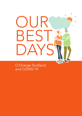# UUR<br>BFST FS. DAYS

C-Change Scotland and COVID 19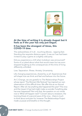

#### At the time of writing it is already August but it feels as if the year has only just begun.

#### It has been the strangest of times, this COVID-19 time.

The awkwardness of it all…touching elbows…tapping feet. Standing the requisite distance apart. It was as if we had been invited to play a game at a slightly odd party.

Did you experience a chill when lockdown was announced? Some of us joked about what that would mean but we soon stopped laughing as the consequences of this time of living differently unfolded.

Loss. Separation. Illness. Anxiety. Uncertainty.

Life changing experiences, shared by us all. Experiences that will shape how we think and feel and behave into the future.

At C-Change, we are grateful to The Relationships Project whose report 'The Moment We Noticed' has inspired our own observations of this difficult time. We offer this as our Annual Report. After all, has anything else happened this year? This virus and the impact it has had might make us wonder if anything else has ever happened? Not only that, the question on our minds now is 'What will happen next?' Concern about a recession, the looming threat of a second wave of the virus…there is much to think about and plan for, however The Relationships Project made us pause and breathe on this thought.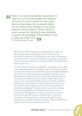**There is an understandable impatience to**<br>return to normal but amidst the sadness<br>and pain of recent weeks we have also<br>had our best days, the moments when return to normal but amidst the sadness and pain of recent weeks we have also had our best days, the moments when we've noticed one another, as we have seldom noticed before. There will be a short season for locking in new defaults, a season of possibility. What matters now is what we make of it. The Relationships Project **''**

> 2019 was our 18th birthday as an organisation. It was our 'growing up and coming of age' year. In that year we committed ourselves to wringing every last drop of meaning out of every story and every experience we shared. It seemed that the moment was here to consider COVID-19 and all that it had brought to us.

> From the start we were encouraged to 'not waste a crisis' and so we were galvanised and ready to deal with whatever came our way. The machinery cranked into gear and people stepped up to the mark. We planned and organised and duly noted each step we took and decisions we made. We closed down and set up in bedrooms and at kitchen tables. We picked up the pace and worked faster, things we had discussed for months were accomplished in days and weeks. We took to the internet super highway and we Zoomed and Teamed… sometimes endlessly. Through Yammer we communicated instructions, guidelines and reliable information. In our isolation we recognised our need to create community in some other way and since we held Yammer in common throughout the organisation it became the place where everyone was invited to gather and share. We took selfies and made videos and encouraged each other.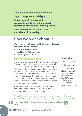We have had some of our best days.

Days of surprise and delight.

Some days of sadness and disappointment, nevertheless rich sources of feeling and learning for us.

What follows in this report are snapshots of those days.

# How we went about it

We took our lead from [The Relationships Project](https://relationshipsproject.org/) and focussed on 3 themes:

- **The Voices Less Heard**
- Looking for Relationships
- Learning for the Future

# The voices less heard

There was encouragement from The Relationships Project to intentionally seek out 'the voices which are less heard'. We gathered stories from people who didn't often speak out. We asked if we might visit and chat about their experiences and what they'd learned through lockdown. We wanted to know if there was anything about the experience that they would want to carry on as we emerged from our homes free from some of the restrictions that had been put in place.

We talked to people for whom the experience had been positive and those for whom it had been a negative, difficult experience.

#### We talked to

People we work for.

Family members.

Colleagues with roles throughout the organisation - front line staff, Board Members and members of the Senior Management Team

We spoke to a young woman we work for and she summed up the feelings of many people when she said that, at the start, lockdown was

**4 OUR BEST DAYS** C-Change Scotland and COVID -19 Horrific…but it ended up a wee bit fabulous. Jade **''**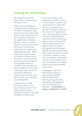# Looking for relationships

We looked to see what happened to relationships during this time.

Often when we talked to colleagues they said how, at the start of lockdown, they had real concerns about the person they worked for and their ability to cope with the restrictions lockdown placed on them. In every situation they reported that the person had amazed them with their capacity to handle the situation. When asked what they thought had made a difference for the person they would say that they gave information as straightforwardly as possible; they watched the news together and the daily briefings. It was a common experience affecting everyone and so they took the situation seriously and learned together.

It seemed as if a shift had taken place in the power and control in the relationship between people we work for and the members of their team.

The commonality of the experience and the access to information created some small space into which the person could grow and decide how they would be in the face of the facts before them. Being unable to freely venture outside affected everyone and was done for a reason. It was not a random withholding of power and agency which so often is the experience of disabled people. As with most people, when given the space to make a choice or a decision, they are more likely to make good choices for themselves and with consideration for others and this was demonstrated many times.

Colleagues noted that they felt the change in relationships. Natalie felt her relationship with the young man she worked for strengthened and that they became partners..."sometimes in a dance, sometimes in crime!"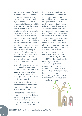Relationships were affected in other ways too. Dates-nmates is a friendship and dating project supported by C-Change. They have branches in Glasgow, Falkirk, Aberdeen and Renfrewshire. The purpose of their existence is to bring people together. One of the ways they do that is by running events; large, happy social gatherings in pubs and clubs where people laugh and talk and dance, getting to know each other and providing opportunities for people to meet. They host parties and discos and there is the chance to dress up and look your best and to see if anyone takes your fancy.

Shortly before lockdown was announced, to safeguard members from this new virus, dates-n-mates had taken the decision to postpone an eagerly anticipated Gala fundraising event.

Then, as of 23rd March, all social events and activities were cancelled or postponed across all branches.

At that time members were anxious and confused about what was happening and what it meant for them. The team explored ways to lessen the social isolation of the

lockdown on members by helping them keep in touch over social media. They worked hard to do the same things differently. Quizzes and karaoke and coffee and cake and comedy evenings continued online. Business not as usual – it was the same but different. As they worked to maintain the relationships that members had developed the team quickly realised that not everyone had been able to connect with them on social media. They undertook a telephone survey of members to establish who was able or unable to get online. The survey showed that 25% of the membership were digitally excluded, either through lack of equipment, access to the internet at home or lack of knowledge. While technology has been the saviour of many during this time it has highlighted the inequalities that exist for some.



**OUR BEST DAYS** C-Change Scotland and COVID-19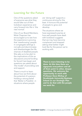# Learning for the Future

One of the questions asked of everyone was what they would take out of their lockdown experience and carry forward into life in 'the new normal'.

One of our Board Members, Mole Chapman has encouraged us to see how the experience is proving that 'warehousing' people in congregate settings is not safe and discriminates and disadvantages the life chances of disabled people. She asks us to be alert to the implications of this as discussions around funding for Social Care begin and questions are asked about 'the model' of providing care and support.

There is much to learn about how we think about the potential of a person. Holding a strong belief that 'Better is Possible', in situations where people

are 'doing well' supports a continuous striving for the best. It honours the potential of people to grow and develop.

The situations where we have expressed surprise at how well people have dealt with lockdown suggests that we may have become complacent and stopped asking what better might look like for the person we're working with.

There is more listening to be done. At this time there are signposts everywhere and all of them point to other, deeper questions. We welcome the opportunity to work with Professor Dave McKay of Strathclyde University Business School on our Strategic Plan and to do that with the people we work for.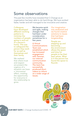# Some observations

The past few months have revealed that C-Change as an organisation has been able to do hard things. We have worked faster, harder and still managed to be innovative and creative.

**Colleagues** have developed different working patterns to minimise the numbers of people going in and out of a person's home. This was to safeguard the person they work for as well as themselves and their family.

We realised that where trust and respect are present the urgency of a situation can have a 'microwave' effect, creating the opportunity for everyone in the relationship to grow.

We became quick and agile, making changes that had been under consideration, sometimes for a few years.

A Virtual **Communications** Team was established which has increased engagement with Yammer, our internal communication community. The team has successfully produced short videos to inform on a wide range of issues.

Our imagination was awakened and we found creative solutions to issues that had been longstanding.

People are stepping up and becoming… the environment allows the space and time for people to be their best selves. What is in the person has found the space to flourish.

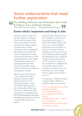# Some undercurrents that need further exploration

**17 The shifting attitudes and behaviours that could<br>
pre-figure more profound change.<br>
The first time we noticed...' The Relationships Project<br>
<b>Know what's important and keep it safe** pre-figure more profound change. The first time we noticed...' The Relationships Project

# Know what's important and keep it safe

As the recession bites and funders begin to balance their books it seems likely that the funding of Social Care will be under scrutiny and discussion. Mole Chapman's piece highlights the issues and makes the case for Supported Living as the most effective model, upholding the human rights of Disabled People and delivering services that cost less and offer better quality of life than traditional congregate models.

We have seen the fraving of the edge that keeps people on just the right side of humanity. From that fraying there is only a short fall to being treated as a commodity. When your humanity is devalued in this way there are consequences. Wolf Wolfensberger describes people's experience as 'having a wasted life and an early death'

Over the past 20 years or so the changes in Social Care have gone some way to repair the frayed edge. The focus on a Human Rights approach, the emphasis on Person Centred working, legislation such as the Social Care (Self-directed Support) (Scotland) Act 2013 could be undermined as the extent of the economic impact of the pandemic is understood. It would be easy to find ourselves cast back into the old ways, the old models that brought out the best in no-one.

In his poem, A Ritual to Read to Each Other, William E Stafford offers this wisdom:

For it is important that awake people be awake, or a breaking line may discourage them back to sleep; the signals we give — yes or no, or maybe should be clear: the darkness around us is deep.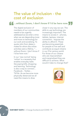# The value of inclusion - the cost of exclusion

# **1...without Zoom, I don't know if I'd be here now.**<br>The digital exclusion of closer in any way we can. The members of our communities skills to use technology are **''**

The digital exclusion of members of our communities needs to be urgently addressed as we enter a time when we are depending more and more on technology for our work and socialising. To quote John from dates-nmates for whom the online activities were a lifeline, "… without Zoom, I don't know if I'd be here now."

In our 'new normal' being 'online' is a necessity that enables everyday tasks like paying bills, shopping and learning. Technology is also a way to connect… Facebook…Twitter… TikTok. As we become more physically distanced we all need the means to draw

closer in any way we can. The skills to use technology are increasingly important. The means to access it - phones, tablets, laptops, internet connection - requires the ability to afford it. These are becoming essentials for people to live well and contribute as equal citizens in our 21st century world. For those of our citizens who are impoverished and marginalised they are difficult to achieve. What would it take to change that?

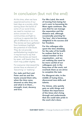# In conclusion (but not the end)

At this time, when we have experienced some of our best days as a society, while staring down the barrel of some of our worst times, we need to maintain our active concern for our communities and fight to continue to appreciate the gift of difference in our lives. The stories we have gathered from lockdown highlight the potential of individuals. They do not provide earthshattering insights but it may be true to say that when the stories are heard by open, soft hearts then the room may judder slightly.

For everyone interviewed the stories have an element of 'becoming' or 'realising'.

For Jade and Kurt and Peter and Ian and the teams around them who, when the time came, showed us who they are and what is in them… strength, trust, decency and love.

For Mrs Laird, the work of moving from being her son's carer to becoming his Mum again continues. She sees that he can manage the separation and the distance and, although occasionally yearning for 'her boy', she is becoming delighted in his success and her freedom.

For the colleague who spent the time shielding for the sake of his health he realises that he is a valued member of the organisation…and we are realising the need to be more careful of our colleagues and, in the busy-ness of the work, not overlook them as we strive to complete the task.

For Margaret who, in the middle of trying times, discovered new skills and talents.

For Aimee, who quietly gets on with things and realises the importance of the times she's living through and understands that she could take pride in the work she's done.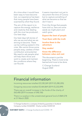At a time when it would have been easy to have become lost, our experience has been that many people have been surprised by what they found.

The aim of this report is to capture the energy, resilience and creativity that dealing with the virus has produced… Our best days.

Our best days tell stories of who we are and what we are striving to become. There can be nothing wasted in this crisis. We cannot throw some people away, careless of their contribution and potential. We need to ask people what will help them thrive and work to create and maintain the conditions where they can flourish.

It seems important not just to document the time of Corona but to capture something of what we became so that we don't lose it.

From the things that people have told us, here are some seeds we might plant and watch grow.

Expect the best of people

#### Trust them with the truth

Involve them in the adventure

Stay awake!

#### Know the difference between value and cost

This document is just the beginning. There is more to be learned and more to be done.

C-Change Scotland August 2020

# Financial information

Incoming resources totalled £5,530,269 (2019 £5,280,205)

Outgoing resources totalled £5,464,869 (2019 £5,232,099)

There was an overall increase in the funds of the charity of £65,400 (2019 increase of £48,106)

There is a surplus in the unrestricted general fund of £869,278 at 31 March 2020

C-Change Scotland is a company limited by guarantee in Scotland Company number SC262558 Charity number SC035124

OUR BEST DAYS C-Change Scotland and COVID -19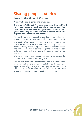# Sharing people's stories

# Love in the time of Corona

A story about a big man and a wee dug.

The big man's life hadn't always been easy. He'd suffered. He'd been misunderstood. Yet all the time his heart had beat solid gold. Kindness and gentleness; humour and grace were shyly revealed to those who stood with the big man as he unfurled into himself.

Not much was known about the wee dug. He came from a rescue centre and so there was surely some sadness in his story.

The week before the world ground to a slowing halt; when the doors and windows were shut and the people stayed inside and they closed the parks and the shops were chaos and families loved each other through the windows at a social distance: in that week of all weeks, the big man and the wee dug met.

Who could resist the sad eyes of a wee dug? What wee dug could resist the soft heart of a big man?

And so they went home together and the love affair began… the wee dug lying snoring on the sofa beside the big man sleeping soundly. In love and in comfortable companionship with each other. Staying in together. Going out with purpose.

Wee dug...big man...the journey has only just begun.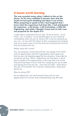# A lesson worth learning

The man sounded weary when I talked to him on the phone. As his story unfolded it became clear that the weeks he had spent shielding had taken it out of him. When preparing to speak to him I had imagined that I knew what the experience had been like. I had anticipated his responses…a bit lonely…a bit frustrating…a little bit frightening. And while I thought I knew how he felt I was not prepared for the depth of it.

I really didn't understand how it was. To be at home…at all times…for 12 weeks…to be alerted again to your extreme vulnerability when all you've tried to do is live as ordinarily as you can…to live with the threat of dire consequences hanging over your head, never mind the financial and practical worries that accompany the act…

Really, what did I know?

Our conversation continued and the man spoke of his relief and his appreciation that the organisation had made sure that he was not disadvantaged by the situation, financially he would be just fine. When I asked how we had been in all of this he spoke of his appreciation of the way that one of the Directors had kept in touch with him, keeping him up to date and asking him how he was…how was his wife?...what about the rest of his family? You must be missing them. Keep your spirits up.

Was he doing OK?

As we talked the man said several times that he had appreciated the sincere and understanding way she had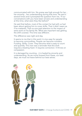communicated with him. No praise was high enough for her… her sincerity…her understanding during that time. He said it several times and it prompted the question from me, 'If our conversations with you have been sincere and understanding at this time, what were they like before?'

He said that before, most of the contact he had with us had been about getting him to cover shifts. That it didn't seem as if he mattered, That no-one paid attention to the impact of extra work on his family life. What was important was getting the shift covered. This time was different.

The difference was night and day.

It seems to me that in this work it is too easy for people to become commodities. People can become numbers. Funding. Shifts. Cover. They become what is easy to count and quantify. This man was a reminder that this work requires a beating heart. It requires connection. It thrives on compassion.

It is damaged by counting…it is healed by sincerity and understanding. As we move forward from these, our best days, we must not leave behind our best selves.

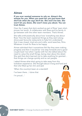# Aimee

If you ever wanted someone to rely on, Aimee's the woman for you. When you meet her you just know that she'll do what she says she'll do. She won't be late. She won't let you down, She won't mess you about. You can trust Aimee.

Over the 3 years that she's worked as part of Ross' team she's proven her worth. A collaborator with Ross and his family. A go-between with the other team members. That's Aimee.

She talks enthusiastically about how 'everything was about Ross' How the team explained things as they went along; drove past favourite restaurants to help him understand that it was closed, tried arts and crafts, word searches, films. Whatever it took for Ross to be happy.

Aimee admitted that it sometimes felt like they were making progress and then it would be 'one step forwards and a good couple back' but when I spoke with her she talked about the need to value the small things, being clear about the detail. She said that she's learned not to take anything for granted… that things can change quickly and so can people.

I asked Aimee what she's going to take away from this lockdown experience. She thought about it long and hard and then she lifted up her chin and said

'When the country's been at a standstill

I've been there…I done that

I'm proud…'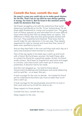# Cometh the hour, cometh the man

He wasn't a man you could rely on to make good choices for his life. That's not to say that he was always getting it wrong. Far from it. But he lived in the moment and he made his decisions that way.

He'd been struggling a bit with the restrictions that social distancing had placed on his life. To be 'locked down' for all these days threatened to cramp and constrain him. The great hole of history opened up and reminded him of more difficult times when being free had not always been an option. The difference in these days was that good people worked with this man. They explained and listened. They knew that he would make his own decisions in his own way. They deeply respected his right to choose and more than that, some of them even seemed to love him.

And so they kept faith in the man and they took each day as it came and everyone lived moment to moment.

One of the top spots in his week was a catch up and lunch with a friend. But he'd been worried. He hadn't been able to contact his friend for a good few weeks. At last, his friend made contact. He'd been in hospital but was home and eager to connect. Let's have lunch! Let's meet up! A choice was presented. A decision had to be made.

And the man stepped up…he told his friend about Government Guidelines and lockdowns and social distancing and he said No…or at least, Not yet…

It took courage for the man to decide…he missed his friend yet he understood that there was more at stake than lunch and a catch up.

It took courage for the good people around him to trust in their work and not try to tell him what to do.

Deep respect to those people.

Cometh the hour, cometh the man.

Deep respect to the man.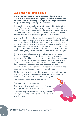# Jade and the pink palace

The young woman's house is a palace of pink where unicorns run wild and free. Crystals sparkle and shimmer on the windows. Walking through the door you feel that magic might happen and perhaps it has.

The harsh reality of the lockdown threatened to disturb this place. There were fears that the young woman would find it too difficult…would react badly. The worst thing was that she couldn't go out and she couldn't see her family. There were worries that the pink palace might turn into a prison.

She said that the lockdown was 'horrendous' but as we talked she described achievements and laughs and relationships that flourished. She talked about watching the news every night and how the scariness of the daily announcements about the virus was made less scary as people she knew and trusted, the people in her team, explained it to her and reassured her that she had this, they would be with her and it would be alright.

Things changed of course. Gym visits became craft days. Eating out became culinary adventures with a slow cooker. Meals were full of health and goodness. A holiday was planned far into the future…far enough away to feel that there was a good chance that it would happen and as the time passed, 2 dress sizes were dropped and new clothes were bought for the holiday. By the end of our conversation the lockdown had become 'horrendous but also a wee bit fabulous.'

All the time, the drip, drip, drip of safe and true information. The young woman was reassured and as the reassurance found a settled place in her, confidence grew.

She had this…they would be with her.

And they were. And she did.

And the magic worked…but it wasn't unicorns and crystals and the magic of pink.

A deeper magic was at work…trust, honesty, loyalty, belief and maybe a bit of love thrown into the mix.

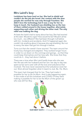# Mrs Laird's boy

Lockdown has been hard on her. She had to shield and couldn't do the job she loved. Her contact with the dear people she worked for was only through Facetime. She didn't love the technology but it was a way for her to keep in touch. Her husband was shielding too so the two of them rattled around in the house together, alternately supporting each other and driving the other mad. The only relief was walking the dog.

At least she hadn't had to worry about her boy. She had worried at the start. Would he cope? How would he be? Would it all be too much…too different? She had been through it all before with him. Incidents and accidents. And if it happened again she couldn't do anything about it because she was shielding. But not to worry, the team had got him through it before.

Turns out that she needn't have worried. The team around her lovely boy changed and adapted. They worked longer hours [in order to cut down on the comings and goings…so that they](https://relationshipsproject.org/)  could keep themselves and her boy safe. She knew that they could do it…they had done it before.

There was a time when Mrs Laird hardly knew who she was. Her life was with her husband and her son: her day to day was spent as her son's carer with all the love and turbulence that involved. The love never wavered but the turbulence wore her out. She's almost forgotten what it meant to Just. Be. His. Mum.

This team had changed that for her. They had made it possible for her to be his Mum. And it was happening again. In the midst of all this lockdown and COVID-19 they were making it possible for her to be the Mum of the grown up who was still her Boy.



**OUR BEST DAYS** C-Change Scotland and COVID-19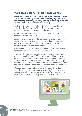# Margaret's story – in her own words

My story started around 5 weeks into the pandemic when I received a shielding letter. I was finishing my work on the morning of Friday 1st May and my husband picked me up and I noticed something was wrong!

Finding out that our beautiful furbaby, Sasha our dog, was rushed to the Emergency Vet suffering from recurrent seizures earlier that morning…My world collapsed.

Phone calls and updates as well as a multitude of prayers continued along with tears!

Saturday 2nd things looked promising however by 7pm she took a turn for the worse and we were asked to go up to say goodbye! We were told that only one person would be allowed in and this was devastating.

But for whatever reason the vet allowed us both to be with her for some time then we said our goodbyes....

Monday 4th I was due back to work. I received the shielding letter and a call from my GP explaining that I had to stay indoors. It was already a very emotional time and now this! I didn't think it could get any worse…but it did. A few days later I heard that a fellow team member had collapsed at work and was in a serious condition. He passed away the next day.

We used Zoom and met as a team. Through the video link I could see that everyone was devastated. Our priority was to keep everything as normal as possible for the person we worked for. I would have helped in a heartbeat but I was

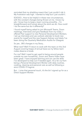reminded that my shielding meant that I just couldn't risk it. My frustration was high. I wanted to help but I just couldn't.

SOOOO...How to be helpful in these new circumstances, with the constant changes being thrown at me. I know my job. I know how to keep a team running smoothly…I'm straightforward and honest about the work we do. How could I do the same but do it differently?

I found myself being asked to join Microsoft Teams, Zoom meetings, Interviews and give feedback from my notes. I offered Peer support to new Personal Development Workers. I set up interviews and use outlook calendar to book new events for myself and the new Support Advisor and lately I've been doing the Quarterly Medication Audits for Glasgow.

So yes…BIG changes in my Story...

What next? Well I'll return to work with the team on the 2nd August covering heaps of annual leave as my fellow team mates deserve a break.

For me? Well I need to get used to being around people outside my own household...Zoom and Teams Video have been great. I have enjoyed learning and can use the skills I've developed to help out if needed again. It's a far cry from being a Personal Development Worker with daily routines, cooking, cleaning and personal care as well as following a strict COVID-19 regime.

But... I miss that personal touch, it's the bit I signed up for as a Direct Support Worker.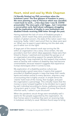# Heart, mind and soul by Mole Chapman

I'd literally finished my PhD corrections when the lockdown came! The first glimpse of freedom in years... We were planning a trip to Florence which was cancelled. I went back to work... a few days later I was ill, COVID presumably! The story gets a bit foggy... but I remember a conversation early April about colleagues struggling with the implications of deaths in care institutions and disabled friends receiving DNR letter through the post.

Having explored the lack of voice of Disabled people in research, which meant they were practically silenced in matters of global concern, the state of the nation wasn't too surprising. Sadly, I didn't want proof that my ideas were spot on. When you've spent 6 years delving into the dark side, you'd rather turn to the light!

A large part of the research work was turning the life within an organisation into a story. Once written, the tale provided a text from which ideas appeared, these were then linked to theory. I watched and recorded the goings on of an organisation providing support for people defined as needing help. It was important for the research that workers were so familiar with matters of disability they had become unremarkable, because research suggests that experience trumps stereotypes when it comes to bias.

My exploration of a disability-positive culture was unsurprisingly a good news story. It seems that support provided to disabled people in ways that keep their needs, wants and wishes central to every decision, requires a way of accounting that is highly unusual. In simple terms the 'clients' hold most of the money, their budget, and paid the organisation a percentage. This critically means that the money is never lumped together to be divided, but is spent by each individual according to choice, preference and with a long-term goal in mind. This system of money flow has an informal name, I called it a pot structure!!

When the pandemic struck things went remarkably well it seems for the people supported by the organisation. As their homes were in localities they went on receiving help in lockdown similarly to usual. Workers found ways to bring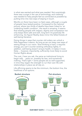in what was wanted and what was needed. Not surprisingly there was a surge in the use of technology, and creativity was needed to help people feel as connected as possible by putting time into new ways of staying in touch.

Months on there have been no fatal cases, although a couple of people have tested positive. Compared to the national picture, where two thirds of deaths have been linked to 'an underlying health condition', the result is amazing. It seems that treating people with respect, dignity and compassion not only keeps them safe and well, long-term it's positively life enhancing. Go figure! Reality does mirror the felled forests of well-being literature.

Doing things in ways that counter old orders can unlock a little happiness it seems. As long as we can keep new ways of seeing things in our vision. Slow thinking is hard, it requires energy, you can't counter existing orthodoxy lightly. In addition, well-being doesn't ensure health, it makes it more likely ... however, importantly, sufficiently more likely to avoid Human Rights abuse.

The cost, I hear you ask, the same as institutional living to begin with …years on, possibly far less, and sometimes nothing. That's right = some people are so well supported, in time they regain the strength to run their own life with relationships in place we all rely on.

Life affirming seems to be the minimum, the bottom line, the healthiest of all options.



**OUR BEST DAYS** C-Change Scotland and COVID-19